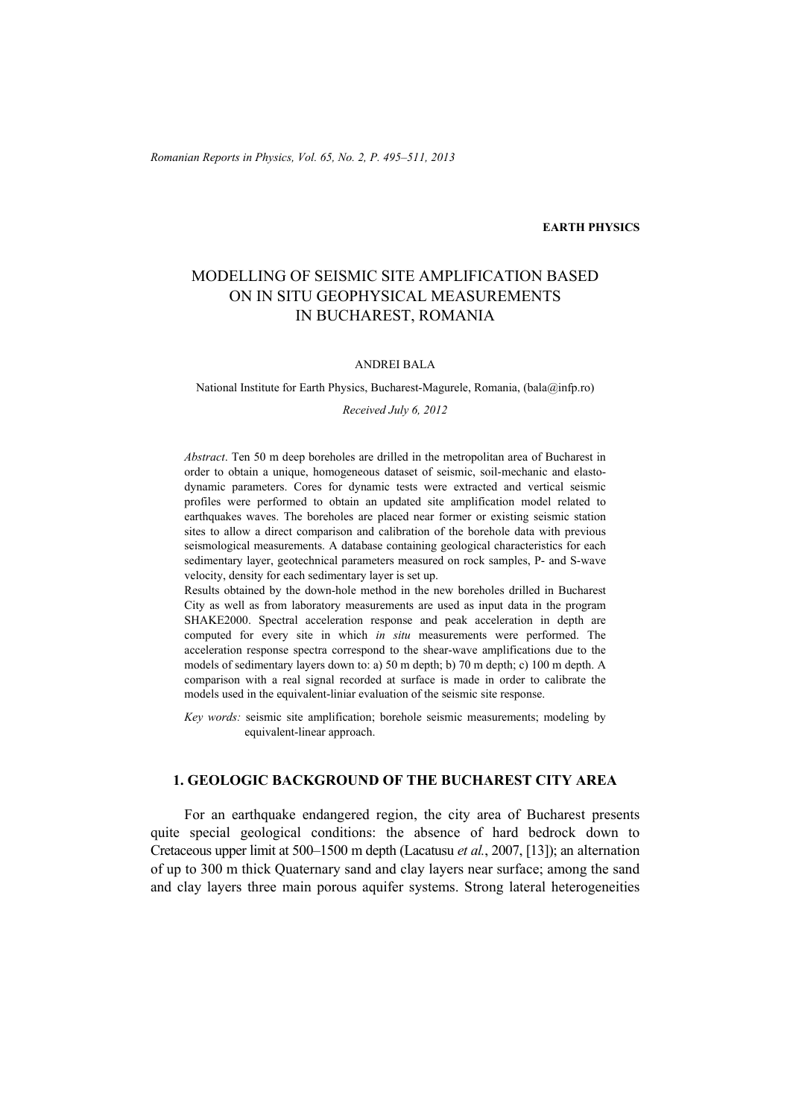### **EARTH PHYSICS**

# MODELLING OF SEISMIC SITE AMPLIFICATION BASED ON IN SITU GEOPHYSICAL MEASUREMENTS IN BUCHAREST, ROMANIA

#### ANDREI BALA

National Institute for Earth Physics, Bucharest-Magurele, Romania, (bala@infp.ro)

#### *Received July 6, 2012*

*Abstract*. Ten 50 m deep boreholes are drilled in the metropolitan area of Bucharest in order to obtain a unique, homogeneous dataset of seismic, soil-mechanic and elastodynamic parameters. Cores for dynamic tests were extracted and vertical seismic profiles were performed to obtain an updated site amplification model related to earthquakes waves. The boreholes are placed near former or existing seismic station sites to allow a direct comparison and calibration of the borehole data with previous seismological measurements. A database containing geological characteristics for each sedimentary layer, geotechnical parameters measured on rock samples, P- and S-wave velocity, density for each sedimentary layer is set up.

Results obtained by the down-hole method in the new boreholes drilled in Bucharest City as well as from laboratory measurements are used as input data in the program SHAKE2000. Spectral acceleration response and peak acceleration in depth are computed for every site in which *in situ* measurements were performed. The acceleration response spectra correspond to the shear-wave amplifications due to the models of sedimentary layers down to: a) 50 m depth; b) 70 m depth; c) 100 m depth. A comparison with a real signal recorded at surface is made in order to calibrate the models used in the equivalent-liniar evaluation of the seismic site response.

*Key words:* seismic site amplification; borehole seismic measurements; modeling by equivalent-linear approach.

# **1. GEOLOGIC BACKGROUND OF THE BUCHAREST CITY AREA**

 For an earthquake endangered region, the city area of Bucharest presents quite special geological conditions: the absence of hard bedrock down to Cretaceous upper limit at 500–1500 m depth (Lacatusu *et al.*, 2007, [13]); an alternation of up to 300 m thick Quaternary sand and clay layers near surface; among the sand and clay layers three main porous aquifer systems. Strong lateral heterogeneities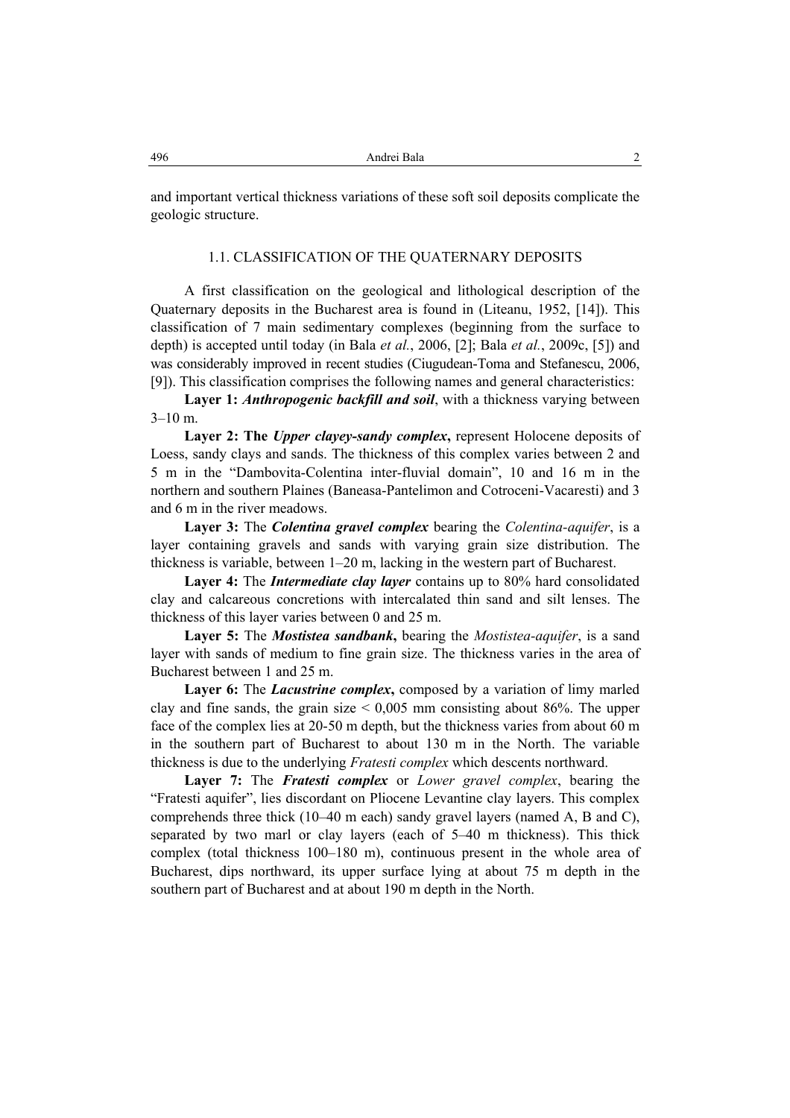and important vertical thickness variations of these soft soil deposits complicate the geologic structure.

#### 1.1. CLASSIFICATION OF THE QUATERNARY DEPOSITS

 A first classification on the geological and lithological description of the Quaternary deposits in the Bucharest area is found in (Liteanu, 1952, [14]). This classification of 7 main sedimentary complexes (beginning from the surface to depth) is accepted until today (in Bala *et al.*, 2006, [2]; Bala *et al.*, 2009c, [5]) and was considerably improved in recent studies (Ciugudean-Toma and Stefanescu, 2006, [9]). This classification comprises the following names and general characteristics:

Layer 1: *Anthropogenic backfill and soil*, with a thickness varying between  $3-10$  m.

**Layer 2: The** *Upper clayey-sandy complex***,** represent Holocene deposits of Loess, sandy clays and sands. The thickness of this complex varies between 2 and 5 m in the "Dambovita-Colentina inter-fluvial domain", 10 and 16 m in the northern and southern Plaines (Baneasa-Pantelimon and Cotroceni-Vacaresti) and 3 and 6 m in the river meadows.

**Layer 3:** The *Colentina gravel complex* bearing the *Colentina-aquifer*, is a layer containing gravels and sands with varying grain size distribution. The thickness is variable, between 1–20 m, lacking in the western part of Bucharest.

**Layer 4:** The *Intermediate clay layer* contains up to 80% hard consolidated clay and calcareous concretions with intercalated thin sand and silt lenses. The thickness of this layer varies between 0 and 25 m.

**Layer 5:** The *Mostistea sandbank***,** bearing the *Mostistea-aquifer*, is a sand layer with sands of medium to fine grain size. The thickness varies in the area of Bucharest between 1 and 25 m.

**Layer 6:** The *Lacustrine complex***,** composed by a variation of limy marled clay and fine sands, the grain size  $\leq 0.005$  mm consisting about 86%. The upper face of the complex lies at 20-50 m depth, but the thickness varies from about 60 m in the southern part of Bucharest to about 130 m in the North. The variable thickness is due to the underlying *Fratesti complex* which descents northward.

**Layer 7:** The *Fratesti complex* or *Lower gravel complex*, bearing the "Fratesti aquifer", lies discordant on Pliocene Levantine clay layers. This complex comprehends three thick (10–40 m each) sandy gravel layers (named A, B and C), separated by two marl or clay layers (each of 5–40 m thickness). This thick complex (total thickness 100–180 m), continuous present in the whole area of Bucharest, dips northward, its upper surface lying at about 75 m depth in the southern part of Bucharest and at about 190 m depth in the North.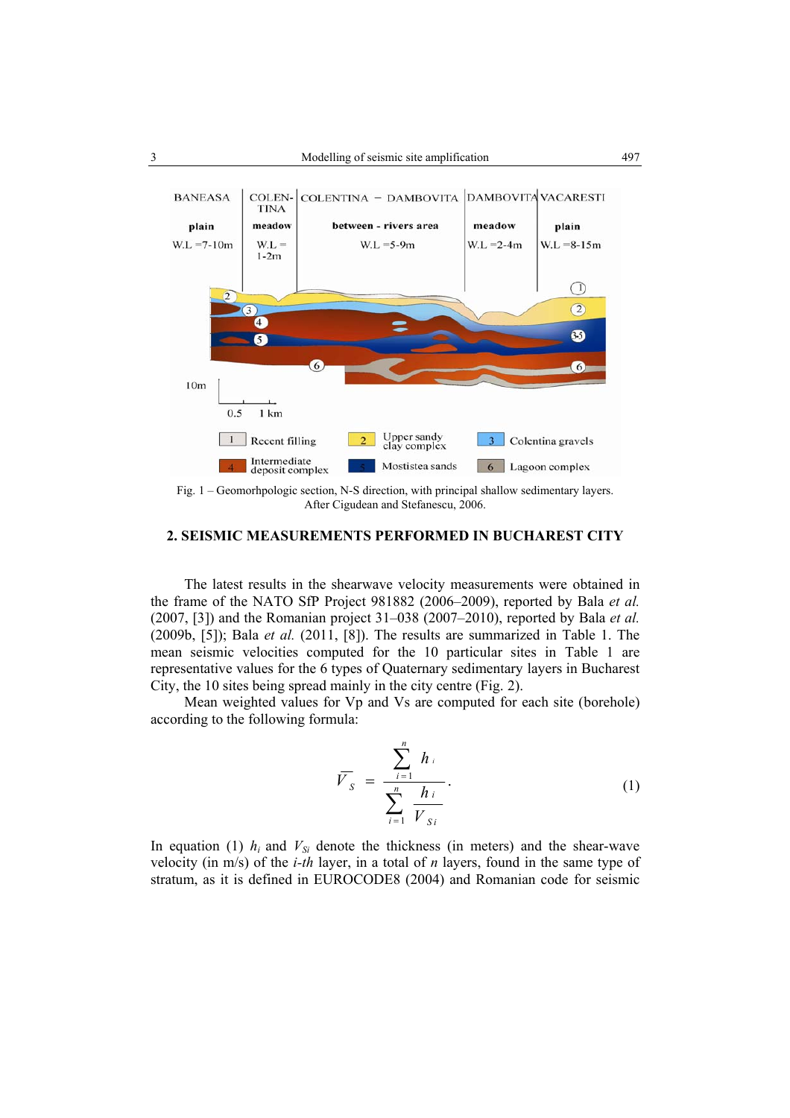

Fig. 1 – Geomorhpologic section, N-S direction, with principal shallow sedimentary layers. After Cigudean and Stefanescu, 2006.

#### **2. SEISMIC MEASUREMENTS PERFORMED IN BUCHAREST CITY**

 The latest results in the shearwave velocity measurements were obtained in the frame of the NATO SfP Project 981882 (2006–2009), reported by Bala *et al.* (2007, [3]) and the Romanian project 31–038 (2007–2010), reported by Bala *et al.* (2009b, [5]); Bala *et al.* (2011, [8]). The results are summarized in Table 1. The mean seismic velocities computed for the 10 particular sites in Table 1 are representative values for the 6 types of Quaternary sedimentary layers in Bucharest City, the 10 sites being spread mainly in the city centre (Fig. 2).

Mean weighted values for Vp and Vs are computed for each site (borehole) according to the following formula:

$$
\overline{V}_{S} = \frac{\sum_{i=1}^{n} h_{i}}{\sum_{i=1}^{n} \frac{h_{i}}{V_{Si}}}.
$$
 (1)

In equation (1)  $h_i$  and  $V_{Si}$  denote the thickness (in meters) and the shear-wave velocity (in m/s) of the *i-th* layer, in a total of *n* layers, found in the same type of stratum, as it is defined in EUROCODE8 (2004) and Romanian code for seismic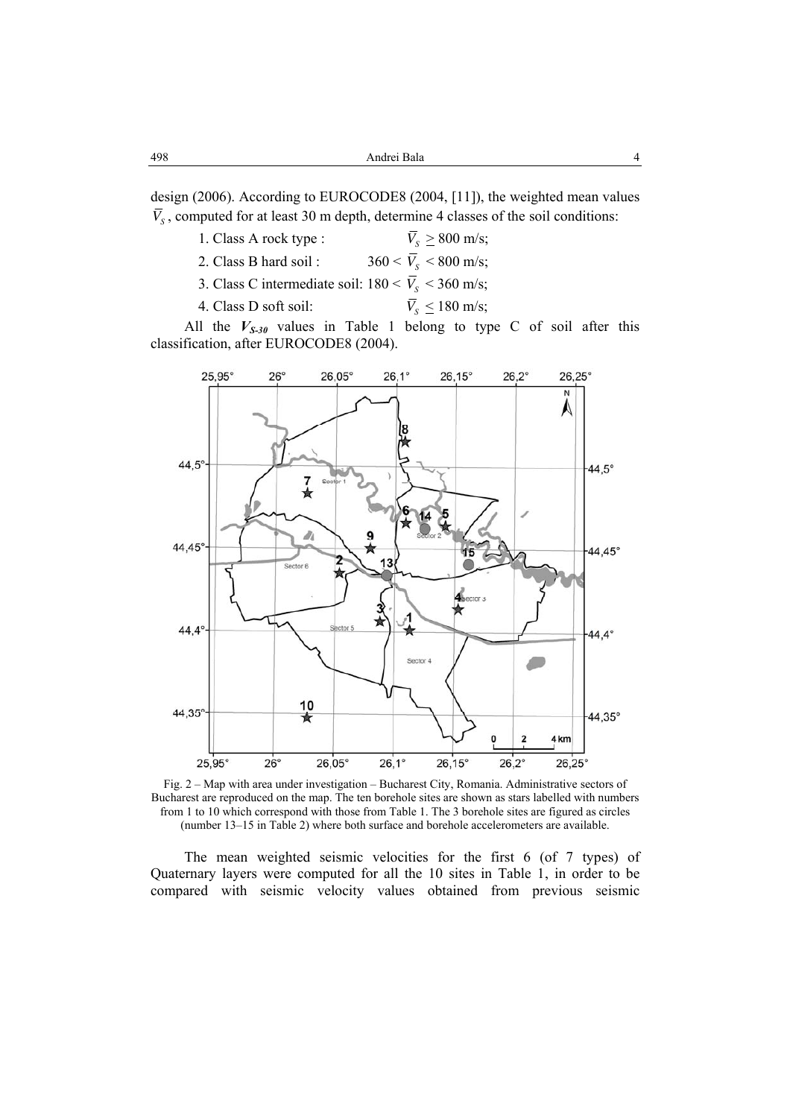design (2006). According to EUROCODE8 (2004, [11]), the weighted mean values  $\overline{V}_s$ , computed for at least 30 m depth, determine 4 classes of the soil conditions:

| 1. Class A rock type :                                          | $V_s \geq 800$ m/s;            |
|-----------------------------------------------------------------|--------------------------------|
| 2. Class B hard soil:                                           | $360 < \bar{V}_{s}$ < 800 m/s; |
| 3. Class C intermediate soil: $180 < \overline{V_s} < 360$ m/s; |                                |
| 4. Class D soft soil:                                           | $\overline{V_s} \leq 180$ m/s; |

All the  $V_{S-3\theta}$  values in Table 1 belong to type C of soil after this classification, after EUROCODE8 (2004).



Fig. 2 – Map with area under investigation – Bucharest City, Romania. Administrative sectors of Bucharest are reproduced on the map. The ten borehole sites are shown as stars labelled with numbers from 1 to 10 which correspond with those from Table 1. The 3 borehole sites are figured as circles (number 13–15 in Table 2) where both surface and borehole accelerometers are available.

 The mean weighted seismic velocities for the first 6 (of 7 types) of Quaternary layers were computed for all the 10 sites in Table 1, in order to be compared with seismic velocity values obtained from previous seismic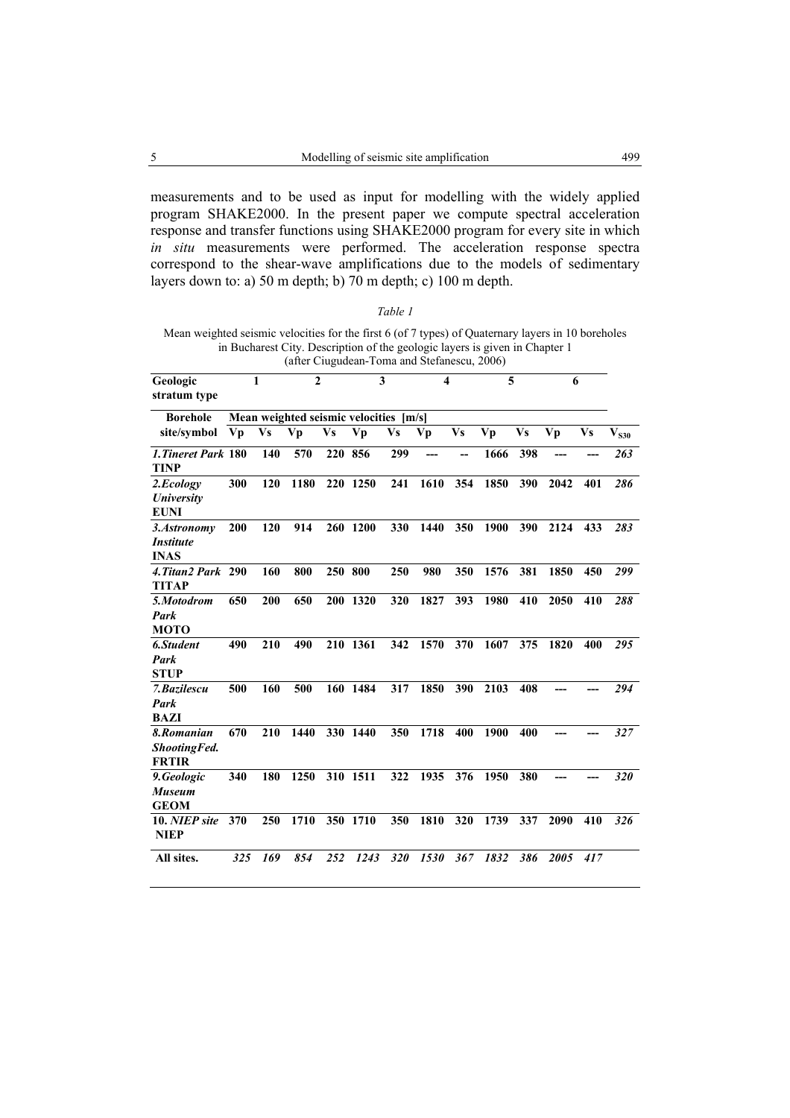measurements and to be used as input for modelling with the widely applied program SHAKE2000. In the present paper we compute spectral acceleration response and transfer functions using SHAKE2000 program for every site in which *in situ* measurements were performed. The acceleration response spectra correspond to the shear-wave amplifications due to the models of sedimentary layers down to: a) 50 m depth; b) 70 m depth; c) 100 m depth.

| ,<br>r<br>,, |  |
|--------------|--|
|              |  |

Mean weighted seismic velocities for the first 6 (of 7 types) of Quaternary layers in 10 boreholes in Bucharest City. Description of the geologic layers is given in Chapter 1 (after Ciugudean-Toma and Stefanescu, 2006)

| Geologic<br>stratum type                              |                                           | 1         | $\mathbf{2}$ |         | 3           |           | 4    |           | 5    |           |      | 6         |               |
|-------------------------------------------------------|-------------------------------------------|-----------|--------------|---------|-------------|-----------|------|-----------|------|-----------|------|-----------|---------------|
| <b>Borehole</b>                                       | Mean weighted seismic velocities<br>[m/s] |           |              |         |             |           |      |           |      |           |      |           |               |
| site/symbol                                           | Vp                                        | <b>Vs</b> | Vp           | Vs      | Vp          | <b>Vs</b> | Vp   | <b>Vs</b> | Vp   | <b>Vs</b> | Vp   | <b>Vs</b> | $\rm V_{S30}$ |
| 1. Tineret Park 180<br><b>TINP</b>                    |                                           | 140       | 570          | 220     | 856         | 299       |      | --        | 1666 | 398       |      |           | 263           |
| 2.Ecology<br><b>University</b><br><b>EUNI</b>         | 300                                       | 120       | 1180         |         | 220 1250    | 241       | 1610 | 354       | 1850 | 390       | 2042 | 401       | 286           |
| 3.Astronomy<br><i><b>Institute</b></i><br><b>INAS</b> | 200                                       | 120       | 914          | 260     | <b>1200</b> | 330       | 1440 | 350       | 1900 | 390       | 2124 | 433       | 283           |
| 4. Titan2 Park 290<br><b>TITAP</b>                    |                                           | 160       | 800          | 250 800 |             | 250       | 980  | 350       | 1576 | 381       | 1850 | 450       | 299           |
| 5.Motodrom<br>Park<br><b>MOTO</b>                     | 650                                       | 200       | 650          | 200     | 1320        | 320       | 1827 | 393       | 1980 | 410       | 2050 | 410       | 288           |
| 6.Student<br>Park<br><b>STUP</b>                      | 490                                       | 210       | 490          |         | 210 1361    | 342       | 1570 | 370       | 1607 | 375       | 1820 | 400       | 295           |
| 7. Bazilescu<br>Park<br><b>BAZI</b>                   | 500                                       | 160       | 500          |         | 160 1484    | 317       | 1850 | 390       | 2103 | 408       |      |           | 294           |
| 8.Romanian<br><b>ShootingFed.</b><br><b>FRTIR</b>     | 670                                       | 210       | 1440         |         | 330 1440    | 350       | 1718 | 400       | 1900 | 400       |      |           | 327           |
| 9.Geologic<br><b>Museum</b><br><b>GEOM</b>            | 340                                       | 180       | 1250         |         | 310 1511    | 322       | 1935 | 376       | 1950 | 380       |      |           | 320           |
| 10. NIEP site<br><b>NIEP</b>                          | 370                                       | 250       | 1710         | 350     | 1710        | 350       | 1810 | 320       | 1739 | 337       | 2090 | 410       | 326           |
| All sites.                                            | 325                                       | 169       | 854          | 252     | 1243        | 320       | 1530 | 367       | 1832 | 386       | 2005 | 417       |               |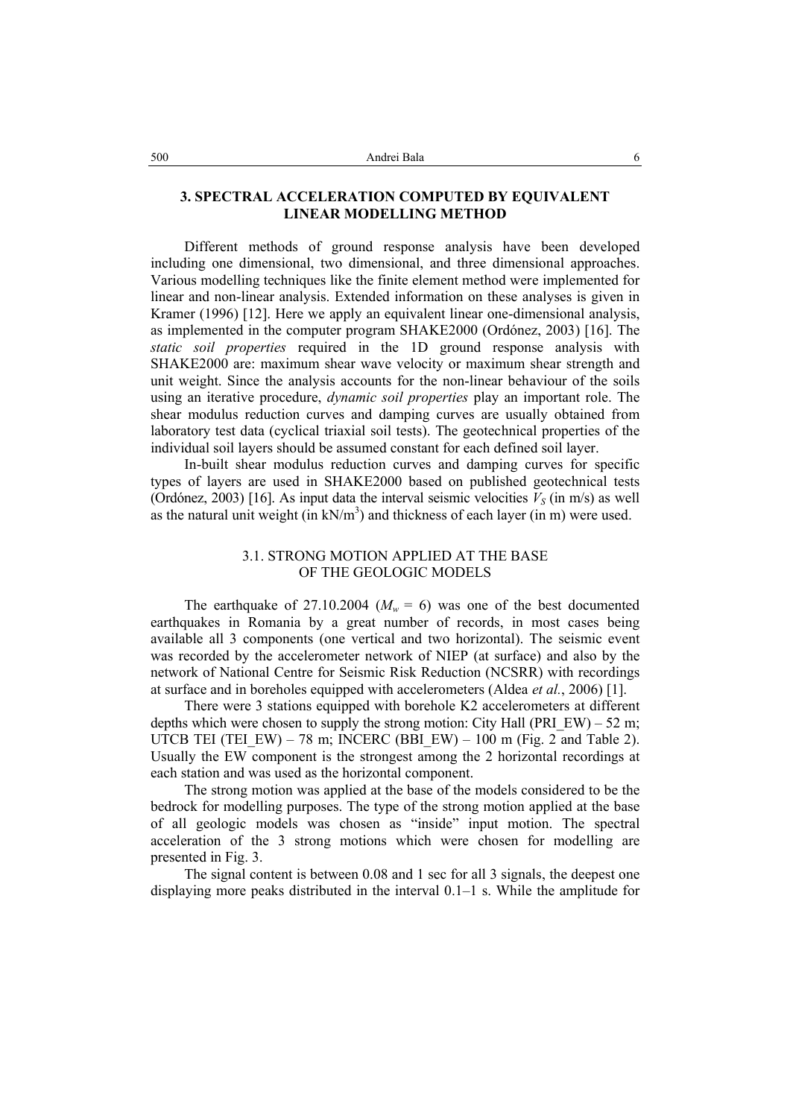# **3. SPECTRAL ACCELERATION COMPUTED BY EQUIVALENT LINEAR MODELLING METHOD**

 Different methods of ground response analysis have been developed including one dimensional, two dimensional, and three dimensional approaches. Various modelling techniques like the finite element method were implemented for linear and non-linear analysis. Extended information on these analyses is given in Kramer (1996) [12]. Here we apply an equivalent linear one-dimensional analysis, as implemented in the computer program SHAKE2000 (Ordónez, 2003) [16]. The *static soil properties* required in the 1D ground response analysis with SHAKE2000 are: maximum shear wave velocity or maximum shear strength and unit weight. Since the analysis accounts for the non-linear behaviour of the soils using an iterative procedure, *dynamic soil properties* play an important role. The shear modulus reduction curves and damping curves are usually obtained from laboratory test data (cyclical triaxial soil tests). The geotechnical properties of the individual soil layers should be assumed constant for each defined soil layer.

 In-built shear modulus reduction curves and damping curves for specific types of layers are used in SHAKE2000 based on published geotechnical tests (Ordónez, 2003) [16]. As input data the interval seismic velocities  $V_s$  (in m/s) as well as the natural unit weight  $(in \, kN/m^3)$  and thickness of each layer  $(in \, m)$  were used.

# 3.1. STRONG MOTION APPLIED AT THE BASE OF THE GEOLOGIC MODELS

The earthquake of 27.10.2004 ( $M_w = 6$ ) was one of the best documented earthquakes in Romania by a great number of records, in most cases being available all 3 components (one vertical and two horizontal). The seismic event was recorded by the accelerometer network of NIEP (at surface) and also by the network of National Centre for Seismic Risk Reduction (NCSRR) with recordings at surface and in boreholes equipped with accelerometers (Aldea *et al.*, 2006) [1].

 There were 3 stations equipped with borehole K2 accelerometers at different depths which were chosen to supply the strong motion: City Hall (PRI\_EW) – 52 m; UTCB TEI (TEI\_EW) – 78 m; INCERC (BBI\_EW) – 100 m (Fig. 2 and Table 2). Usually the EW component is the strongest among the 2 horizontal recordings at each station and was used as the horizontal component.

 The strong motion was applied at the base of the models considered to be the bedrock for modelling purposes. The type of the strong motion applied at the base of all geologic models was chosen as "inside" input motion. The spectral acceleration of the 3 strong motions which were chosen for modelling are presented in Fig. 3.

 The signal content is between 0.08 and 1 sec for all 3 signals, the deepest one displaying more peaks distributed in the interval 0.1–1 s. While the amplitude for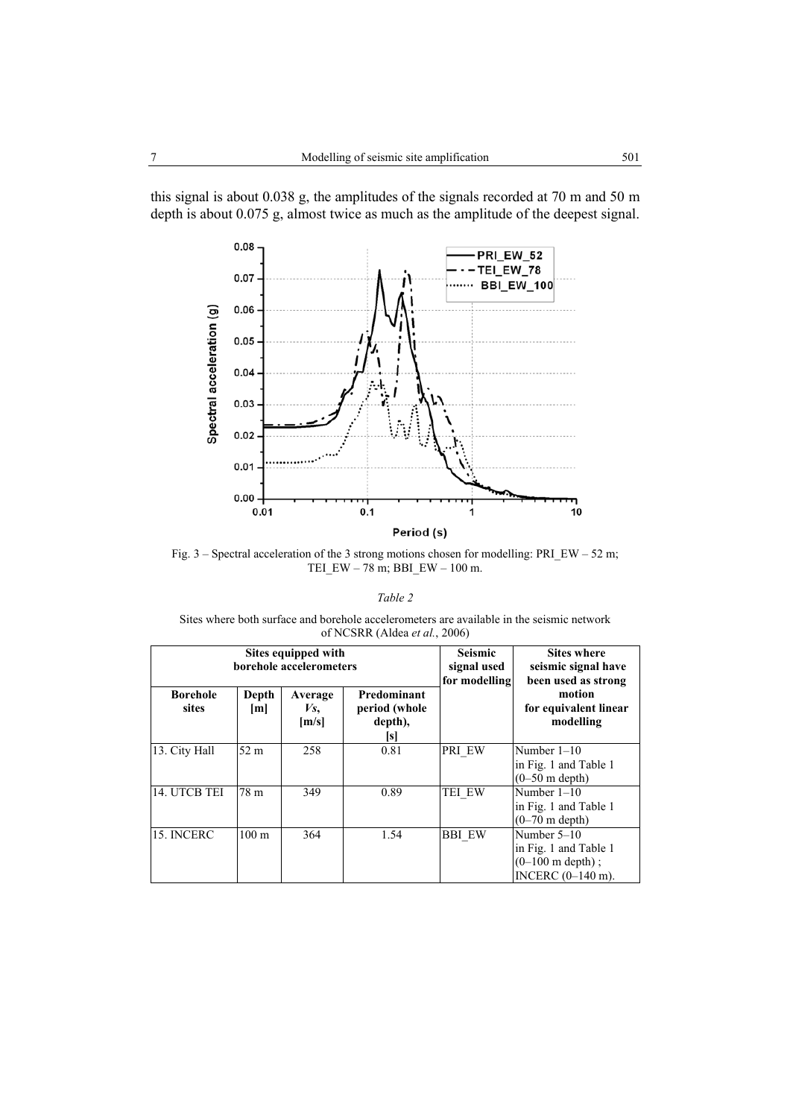this signal is about 0.038 g, the amplitudes of the signals recorded at 70 m and 50 m depth is about 0.075 g, almost twice as much as the amplitude of the deepest signal.



Fig. 3 – Spectral acceleration of the 3 strong motions chosen for modelling: PRI\_EW – 52 m; TEI\_EW – 78 m; BBI\_EW – 100 m.

|--|--|

Sites where both surface and borehole accelerometers are available in the seismic network of NCSRR (Aldea *et al.*, 2006)

|                          |                  | Sites equipped with<br>borehole accelerometers | <b>Seismic</b><br>signal used<br>for modelling | <b>Sites where</b><br>seismic signal have<br>been used as strong |                                                                                            |  |  |
|--------------------------|------------------|------------------------------------------------|------------------------------------------------|------------------------------------------------------------------|--------------------------------------------------------------------------------------------|--|--|
| <b>Borehole</b><br>sites | Depth<br>[m]     | Average<br>Vs,<br>[m/s]                        | Predominant<br>period (whole<br>depth),<br> s  |                                                                  | motion<br>for equivalent linear<br>modelling                                               |  |  |
| 13. City Hall            | 52 <sub>m</sub>  | 258                                            | 0.81                                           | <b>PRI EW</b>                                                    | Number $1-10$<br>in Fig. 1 and Table 1<br>$(0-50 \text{ m depth})$                         |  |  |
| 14. UTCB TEI             | 78 m             | 349                                            | 0.89                                           | TEI EW                                                           | Number $1-10$<br>in Fig. 1 and Table 1<br>$(0-70 \text{ m depth})$                         |  |  |
| 15. INCERC               | 100 <sub>m</sub> | 364                                            | 1.54                                           | <b>BBI EW</b>                                                    | Number $5-10$<br>in Fig. 1 and Table 1<br>$(0-100 \text{ m depth})$ ;<br>INCERC (0-140 m). |  |  |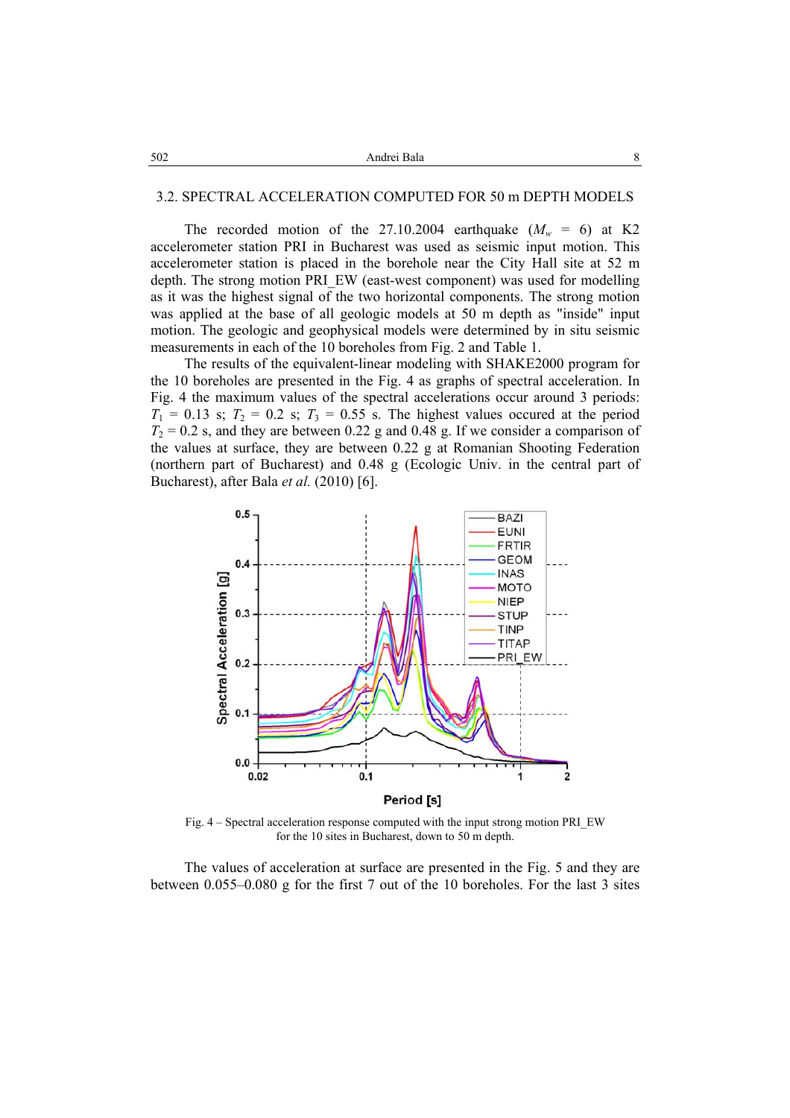#### 3.2. SPECTRAL ACCELERATION COMPUTED FOR 50 m DEPTH MODELS

The recorded motion of the 27.10.2004 earthquake  $(M_w = 6)$  at K2 accelerometer station PRI in Bucharest was used as seismic input motion. This accelerometer station is placed in the borehole near the City Hall site at 52 m depth. The strong motion PRI\_EW (east-west component) was used for modelling as it was the highest signal of the two horizontal components. The strong motion was applied at the base of all geologic models at 50 m depth as "inside" input motion. The geologic and geophysical models were determined by in situ seismic measurements in each of the 10 boreholes from Fig. 2 and Table 1.

The results of the equivalent-linear modeling with SHAKE2000 program for the 10 boreholes are presented in the Fig. 4 as graphs of spectral acceleration. In Fig. 4 the maximum values of the spectral accelerations occur around 3 periods:  $T_1 = 0.13$  s;  $T_2 = 0.2$  s;  $T_3 = 0.55$  s. The highest values occured at the period  $T_2 = 0.2$  s, and they are between 0.22 g and 0.48 g. If we consider a comparison of the values at surface, they are between 0.22 g at Romanian Shooting Federation (northern part of Bucharest) and 0.48 g (Ecologic Univ. in the central part of Bucharest), after Bala *et al.* (2010) [6].



Fig. 4 – Spectral acceleration response computed with the input strong motion PRI\_EW for the 10 sites in Bucharest, down to 50 m depth.

 The values of acceleration at surface are presented in the Fig. 5 and they are between 0.055–0.080 g for the first 7 out of the 10 boreholes. For the last 3 sites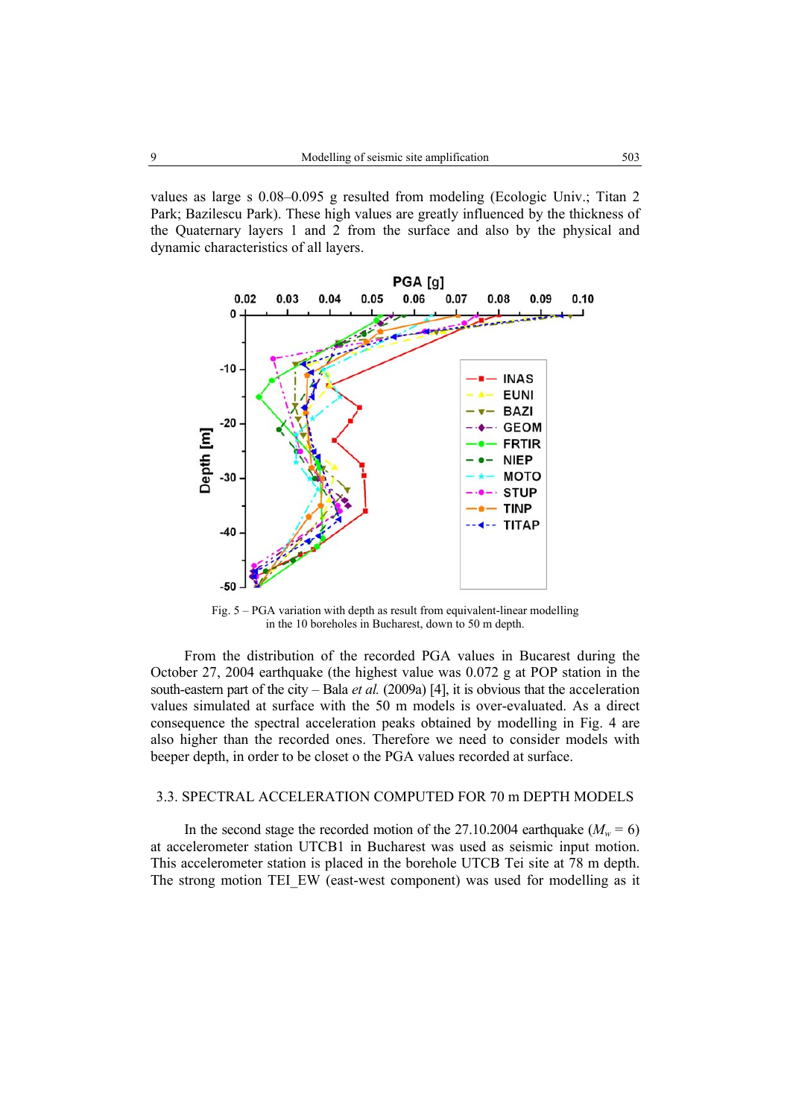values as large s 0.08–0.095 g resulted from modeling (Ecologic Univ.; Titan 2 Park; Bazilescu Park). These high values are greatly influenced by the thickness of the Quaternary layers 1 and 2 from the surface and also by the physical and dynamic characteristics of all layers.



Fig. 5 – PGA variation with depth as result from equivalent-linear modelling in the 10 boreholes in Bucharest, down to 50 m depth.

 From the distribution of the recorded PGA values in Bucarest during the October 27, 2004 earthquake (the highest value was 0.072 g at POP station in the south-eastern part of the city – Bala *et al.* (2009a) [4], it is obvious that the acceleration values simulated at surface with the 50 m models is over-evaluated. As a direct consequence the spectral acceleration peaks obtained by modelling in Fig. 4 are also higher than the recorded ones. Therefore we need to consider models with beeper depth, in order to be closet o the PGA values recorded at surface.

# 3.3. SPECTRAL ACCELERATION COMPUTED FOR 70 m DEPTH MODELS

In the second stage the recorded motion of the 27.10.2004 earthquake ( $M_w = 6$ ) at accelerometer station UTCB1 in Bucharest was used as seismic input motion. This accelerometer station is placed in the borehole UTCB Tei site at 78 m depth. The strong motion TEI\_EW (east-west component) was used for modelling as it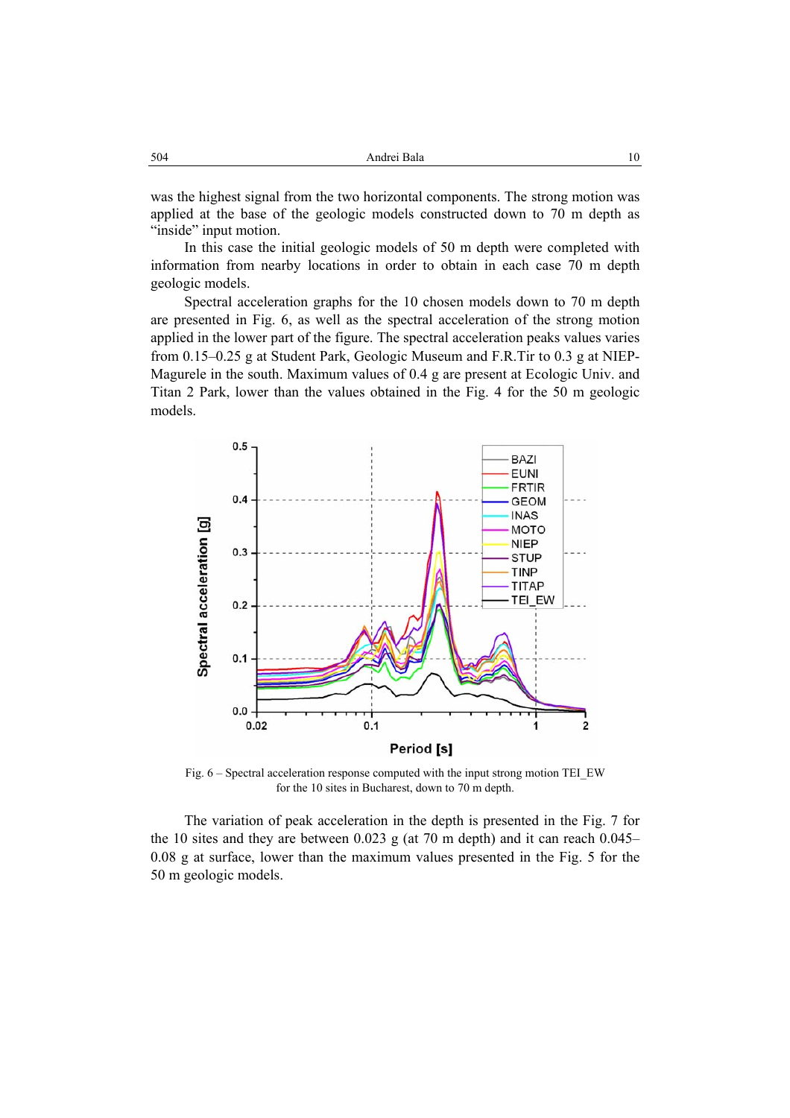was the highest signal from the two horizontal components. The strong motion was applied at the base of the geologic models constructed down to 70 m depth as "inside" input motion.

In this case the initial geologic models of 50 m depth were completed with information from nearby locations in order to obtain in each case 70 m depth geologic models.

Spectral acceleration graphs for the 10 chosen models down to 70 m depth are presented in Fig. 6, as well as the spectral acceleration of the strong motion applied in the lower part of the figure. The spectral acceleration peaks values varies from 0.15–0.25 g at Student Park, Geologic Museum and F.R.Tir to 0.3 g at NIEP-Magurele in the south. Maximum values of 0.4 g are present at Ecologic Univ. and Titan 2 Park, lower than the values obtained in the Fig. 4 for the 50 m geologic models.



Fig. 6 – Spectral acceleration response computed with the input strong motion TEI\_EW for the 10 sites in Bucharest, down to 70 m depth.

The variation of peak acceleration in the depth is presented in the Fig. 7 for the 10 sites and they are between 0.023 g (at 70 m depth) and it can reach  $0.045-$ 0.08 g at surface, lower than the maximum values presented in the Fig. 5 for the 50 m geologic models.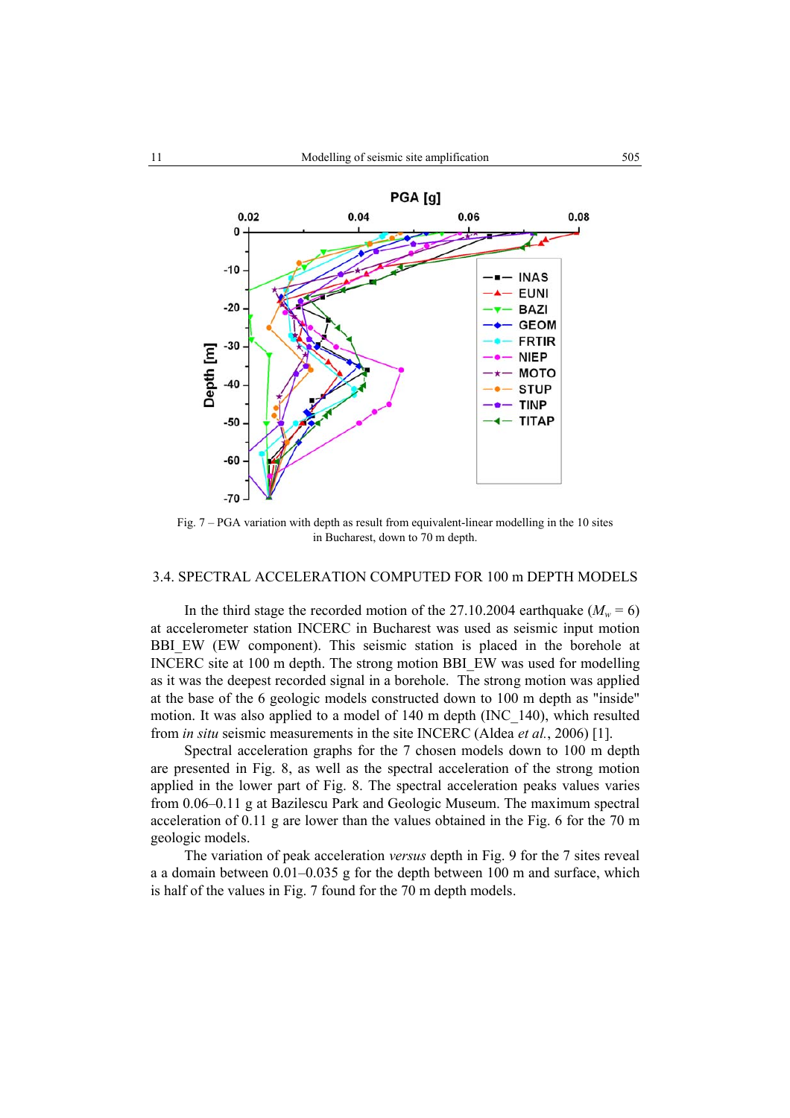

Fig. 7 – PGA variation with depth as result from equivalent-linear modelling in the 10 sites in Bucharest, down to 70 m depth.

### 3.4. SPECTRAL ACCELERATION COMPUTED FOR 100 m DEPTH MODELS

In the third stage the recorded motion of the 27.10.2004 earthquake ( $M_w = 6$ ) at accelerometer station INCERC in Bucharest was used as seismic input motion BBI\_EW (EW component). This seismic station is placed in the borehole at INCERC site at 100 m depth. The strong motion BBI\_EW was used for modelling as it was the deepest recorded signal in a borehole. The strong motion was applied at the base of the 6 geologic models constructed down to 100 m depth as "inside" motion. It was also applied to a model of 140 m depth (INC\_140), which resulted from *in situ* seismic measurements in the site INCERC (Aldea *et al.*, 2006) [1].

Spectral acceleration graphs for the 7 chosen models down to 100 m depth are presented in Fig. 8, as well as the spectral acceleration of the strong motion applied in the lower part of Fig. 8. The spectral acceleration peaks values varies from 0.06–0.11 g at Bazilescu Park and Geologic Museum. The maximum spectral acceleration of 0.11 g are lower than the values obtained in the Fig. 6 for the 70 m geologic models.

The variation of peak acceleration *versus* depth in Fig. 9 for the 7 sites reveal a a domain between 0.01–0.035 g for the depth between 100 m and surface, which is half of the values in Fig. 7 found for the 70 m depth models.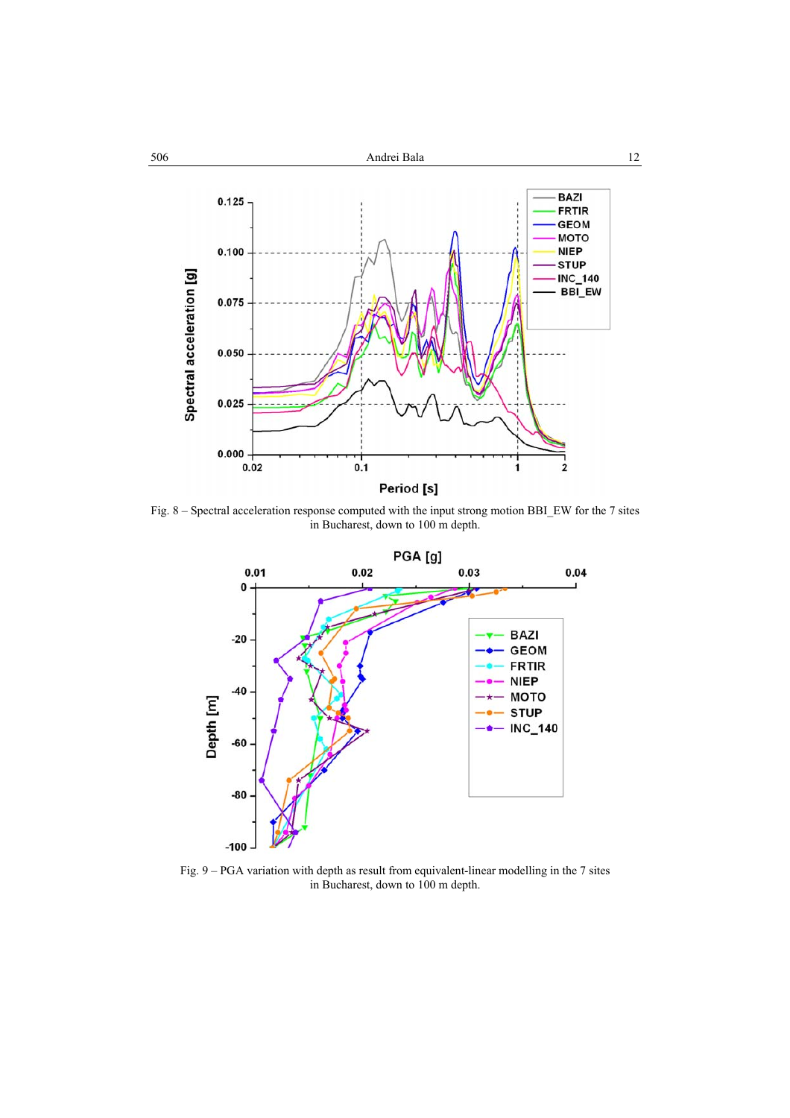

Fig. 8 – Spectral acceleration response computed with the input strong motion BBI\_EW for the 7 sites in Bucharest, down to 100 m depth.



Fig. 9 – PGA variation with depth as result from equivalent-linear modelling in the 7 sites in Bucharest, down to 100 m depth.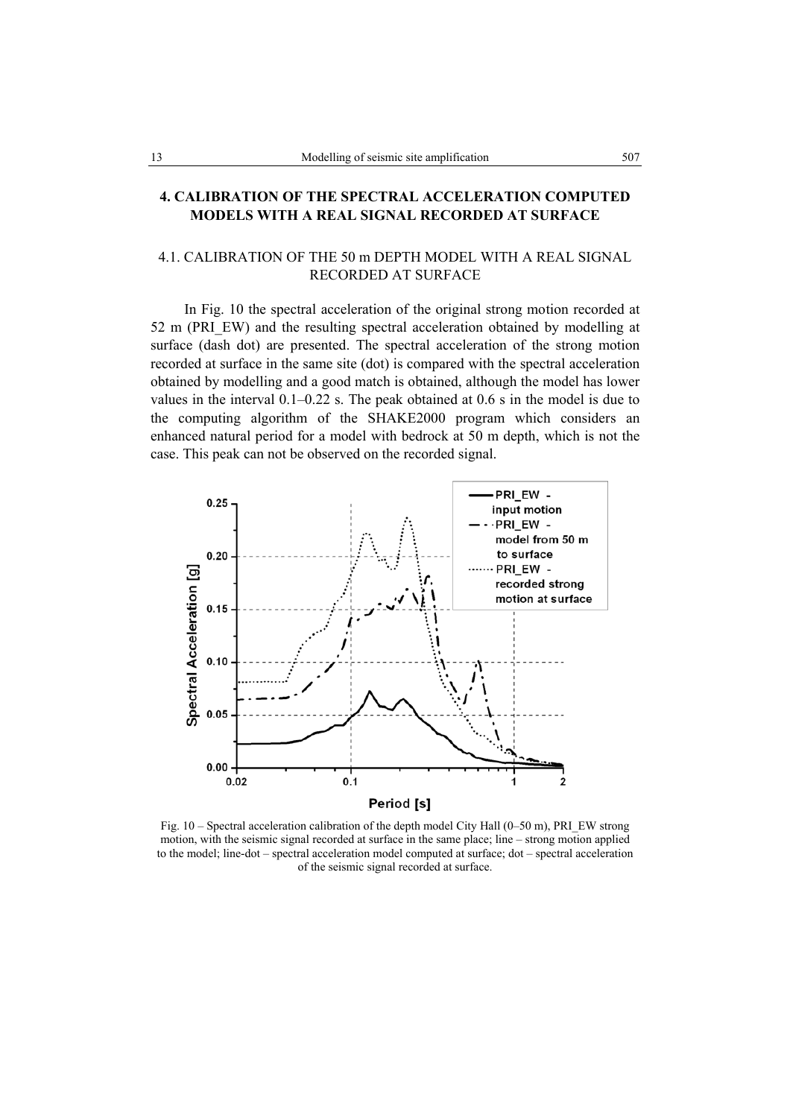# **4. CALIBRATION OF THE SPECTRAL ACCELERATION COMPUTED MODELS WITH A REAL SIGNAL RECORDED AT SURFACE**

# 4.1. CALIBRATION OF THE 50 m DEPTH MODEL WITH A REAL SIGNAL RECORDED AT SURFACE

 In Fig. 10 the spectral acceleration of the original strong motion recorded at 52 m (PRI\_EW) and the resulting spectral acceleration obtained by modelling at surface (dash dot) are presented. The spectral acceleration of the strong motion recorded at surface in the same site (dot) is compared with the spectral acceleration obtained by modelling and a good match is obtained, although the model has lower values in the interval 0.1–0.22 s. The peak obtained at 0.6 s in the model is due to the computing algorithm of the SHAKE2000 program which considers an enhanced natural period for a model with bedrock at 50 m depth, which is not the case. This peak can not be observed on the recorded signal.



Fig. 10 – Spectral acceleration calibration of the depth model City Hall (0–50 m), PRI\_EW strong motion, with the seismic signal recorded at surface in the same place; line – strong motion applied to the model; line-dot – spectral acceleration model computed at surface; dot – spectral acceleration of the seismic signal recorded at surface.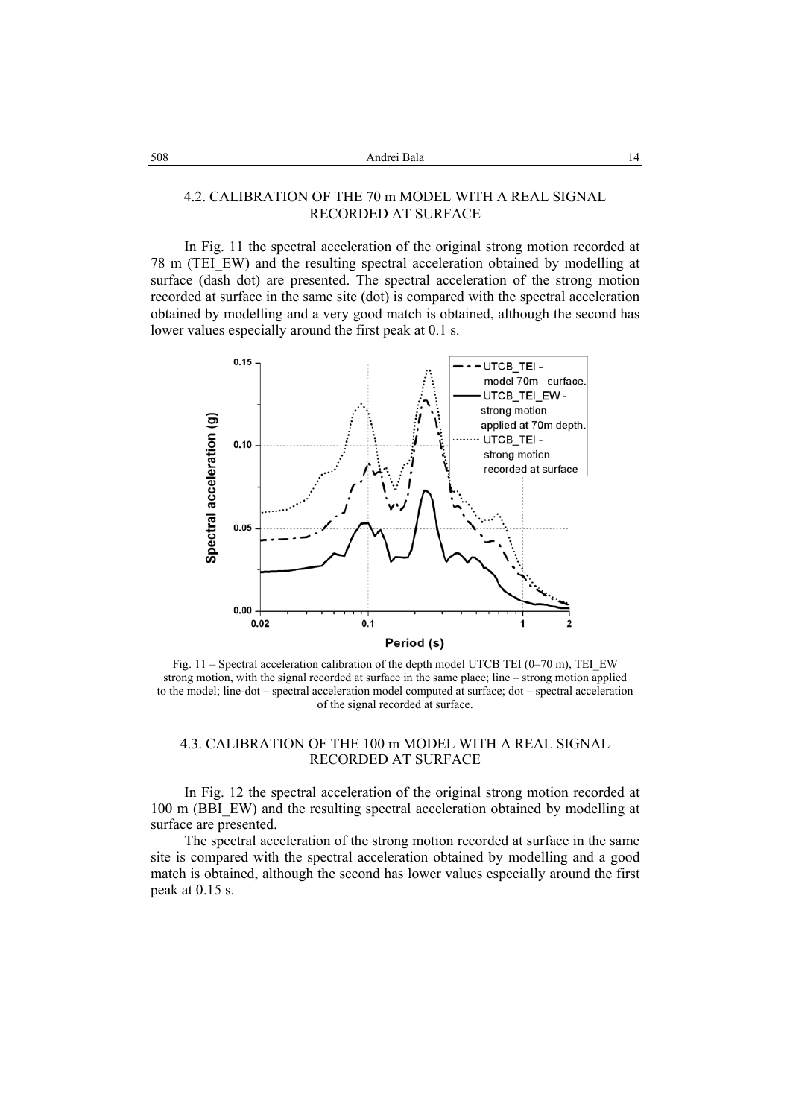## 4.2. CALIBRATION OF THE 70 m MODEL WITH A REAL SIGNAL RECORDED AT SURFACE

In Fig. 11 the spectral acceleration of the original strong motion recorded at 78 m (TEI\_EW) and the resulting spectral acceleration obtained by modelling at surface (dash dot) are presented. The spectral acceleration of the strong motion recorded at surface in the same site (dot) is compared with the spectral acceleration obtained by modelling and a very good match is obtained, although the second has lower values especially around the first peak at 0.1 s.



Fig. 11 – Spectral acceleration calibration of the depth model UTCB TEI  $(0-70 \text{ m})$ , TEI EW strong motion, with the signal recorded at surface in the same place; line – strong motion applied to the model; line-dot – spectral acceleration model computed at surface; dot – spectral acceleration of the signal recorded at surface.

# 4.3. CALIBRATION OF THE 100 m MODEL WITH A REAL SIGNAL RECORDED AT SURFACE

In Fig. 12 the spectral acceleration of the original strong motion recorded at 100 m (BBI\_EW) and the resulting spectral acceleration obtained by modelling at surface are presented.

 The spectral acceleration of the strong motion recorded at surface in the same site is compared with the spectral acceleration obtained by modelling and a good match is obtained, although the second has lower values especially around the first peak at 0.15 s.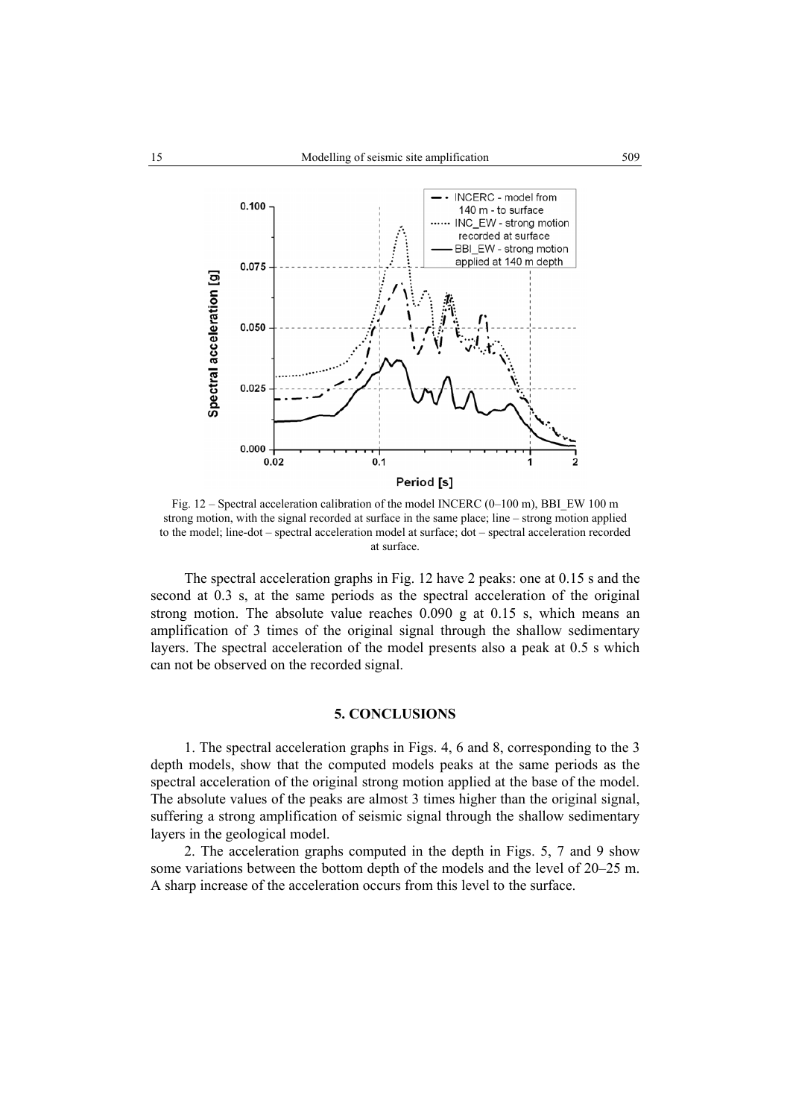

Fig. 12 – Spectral acceleration calibration of the model INCERC (0–100 m), BBI\_EW 100 m strong motion, with the signal recorded at surface in the same place; line – strong motion applied to the model; line-dot – spectral acceleration model at surface; dot – spectral acceleration recorded at surface.

 The spectral acceleration graphs in Fig. 12 have 2 peaks: one at 0.15 s and the second at 0.3 s, at the same periods as the spectral acceleration of the original strong motion. The absolute value reaches 0.090 g at 0.15 s, which means an amplification of 3 times of the original signal through the shallow sedimentary layers. The spectral acceleration of the model presents also a peak at 0.5 s which can not be observed on the recorded signal.

# **5. CONCLUSIONS**

1. The spectral acceleration graphs in Figs. 4, 6 and 8, corresponding to the 3 depth models, show that the computed models peaks at the same periods as the spectral acceleration of the original strong motion applied at the base of the model. The absolute values of the peaks are almost 3 times higher than the original signal, suffering a strong amplification of seismic signal through the shallow sedimentary layers in the geological model.

2. The acceleration graphs computed in the depth in Figs. 5, 7 and 9 show some variations between the bottom depth of the models and the level of 20–25 m. A sharp increase of the acceleration occurs from this level to the surface.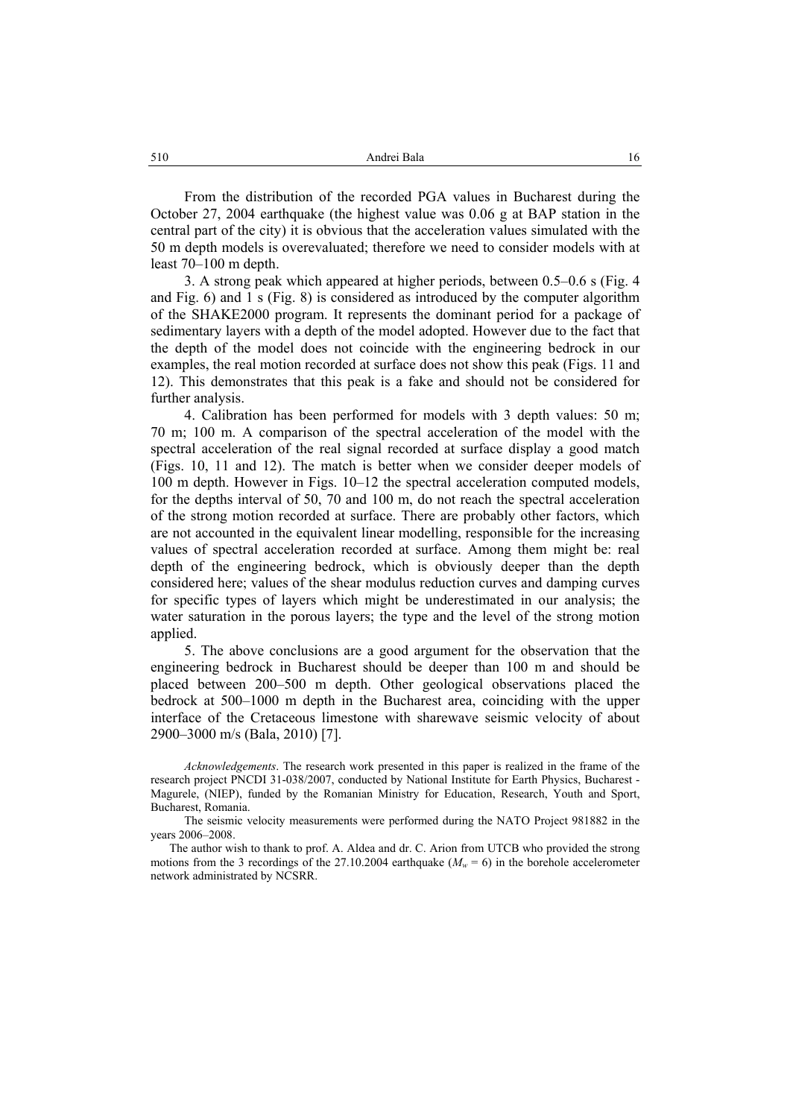From the distribution of the recorded PGA values in Bucharest during the October 27, 2004 earthquake (the highest value was 0.06 g at BAP station in the central part of the city) it is obvious that the acceleration values simulated with the 50 m depth models is overevaluated; therefore we need to consider models with at least 70–100 m depth.

3. A strong peak which appeared at higher periods, between 0.5–0.6 s (Fig. 4 and Fig. 6) and 1 s (Fig. 8) is considered as introduced by the computer algorithm of the SHAKE2000 program. It represents the dominant period for a package of sedimentary layers with a depth of the model adopted. However due to the fact that the depth of the model does not coincide with the engineering bedrock in our examples, the real motion recorded at surface does not show this peak (Figs. 11 and 12). This demonstrates that this peak is a fake and should not be considered for further analysis.

4. Calibration has been performed for models with 3 depth values: 50 m; 70 m; 100 m. A comparison of the spectral acceleration of the model with the spectral acceleration of the real signal recorded at surface display a good match (Figs. 10, 11 and 12). The match is better when we consider deeper models of 100 m depth. However in Figs. 10–12 the spectral acceleration computed models, for the depths interval of 50, 70 and 100 m, do not reach the spectral acceleration of the strong motion recorded at surface. There are probably other factors, which are not accounted in the equivalent linear modelling, responsible for the increasing values of spectral acceleration recorded at surface. Among them might be: real depth of the engineering bedrock, which is obviously deeper than the depth considered here; values of the shear modulus reduction curves and damping curves for specific types of layers which might be underestimated in our analysis; the water saturation in the porous layers; the type and the level of the strong motion applied.

5. The above conclusions are a good argument for the observation that the engineering bedrock in Bucharest should be deeper than 100 m and should be placed between 200–500 m depth. Other geological observations placed the bedrock at 500–1000 m depth in the Bucharest area, coinciding with the upper interface of the Cretaceous limestone with sharewave seismic velocity of about 2900–3000 m/s (Bala, 2010) [7].

*Acknowledgements*. The research work presented in this paper is realized in the frame of the research project PNCDI 31-038/2007, conducted by National Institute for Earth Physics, Bucharest - Magurele, (NIEP), funded by the Romanian Ministry for Education, Research, Youth and Sport, Bucharest, Romania.

The seismic velocity measurements were performed during the NATO Project 981882 in the years 2006–2008.

The author wish to thank to prof. A. Aldea and dr. C. Arion from UTCB who provided the strong motions from the 3 recordings of the 27.10.2004 earthquake ( $M_w = 6$ ) in the borehole accelerometer network administrated by NCSRR.